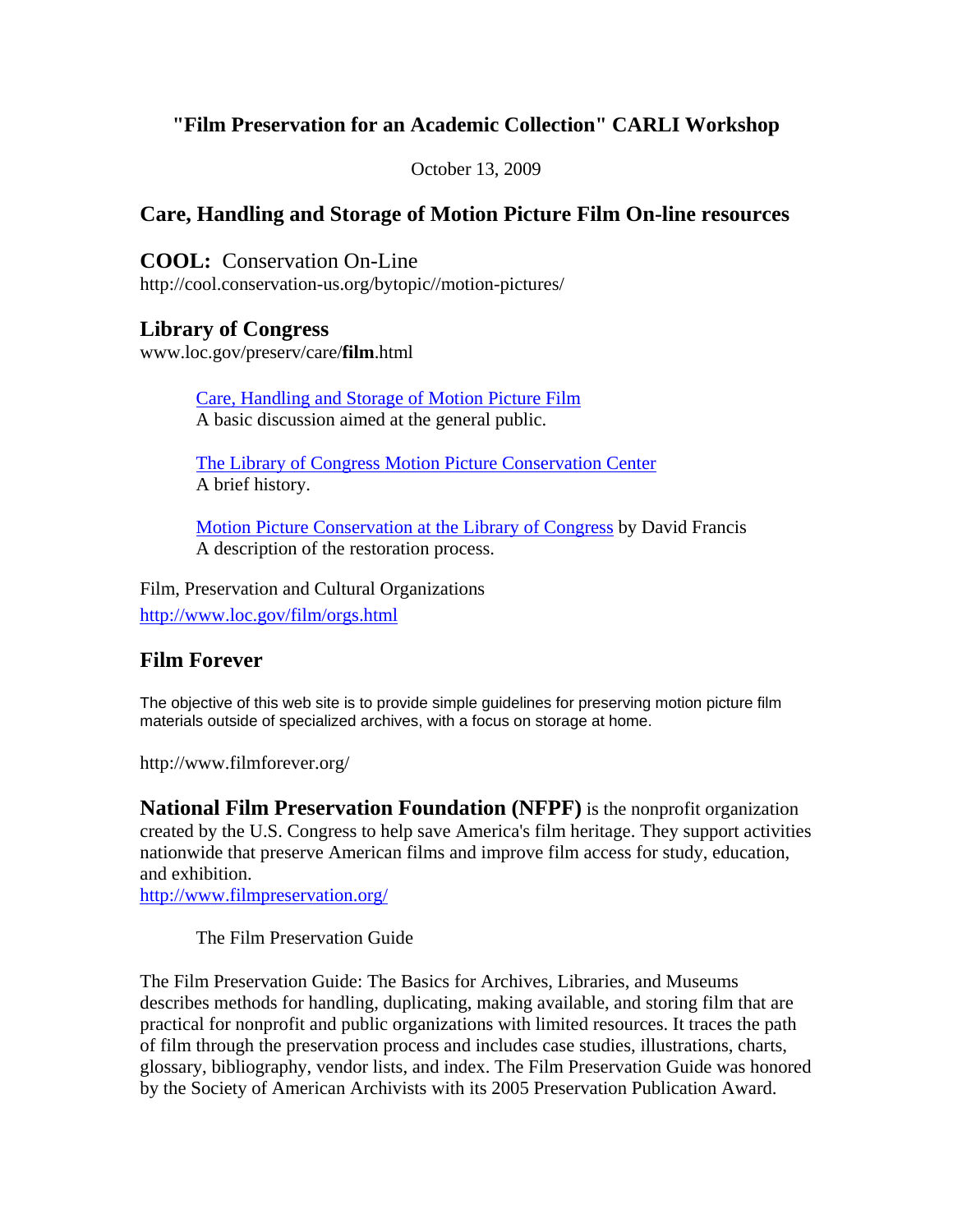# **"Film Preservation for an Academic Collection" CARLI Workshop**

October 13, 2009

# **Care, Handling and Storage of Motion Picture Film On-line resources**

**COOL:** Conservation On-Line http://cool.conservation-us.org/bytopic//motion-pictures/

## **Library of Congress**

www.loc.gov/preserv/care/**film**.html

Care, Handling and Storage of Motion Picture Film A basic discussion aimed at the general public.

The Library of Congress Motion Picture Conservation Center A brief history.

Motion Picture Conservation at the Library of Congress by David Francis A description of the restoration process.

Film, Preservation and Cultural Organizations http://www.loc.gov/film/orgs.html

# **Film Forever**

The objective of this web site is to provide simple guidelines for preserving motion picture film materials outside of specialized archives, with a focus on storage at home.

http://www.filmforever.org/

**National Film Preservation Foundation (NFPF)** is the nonprofit organization created by the U.S. Congress to help save America's film heritage. They support activities nationwide that preserve American films and improve film access for study, education, and exhibition.

http://www.filmpreservation.org/

The Film Preservation Guide

The Film Preservation Guide: The Basics for Archives, Libraries, and Museums describes methods for handling, duplicating, making available, and storing film that are practical for nonprofit and public organizations with limited resources. It traces the path of film through the preservation process and includes case studies, illustrations, charts, glossary, bibliography, vendor lists, and index. The Film Preservation Guide was honored by the Society of American Archivists with its 2005 Preservation Publication Award.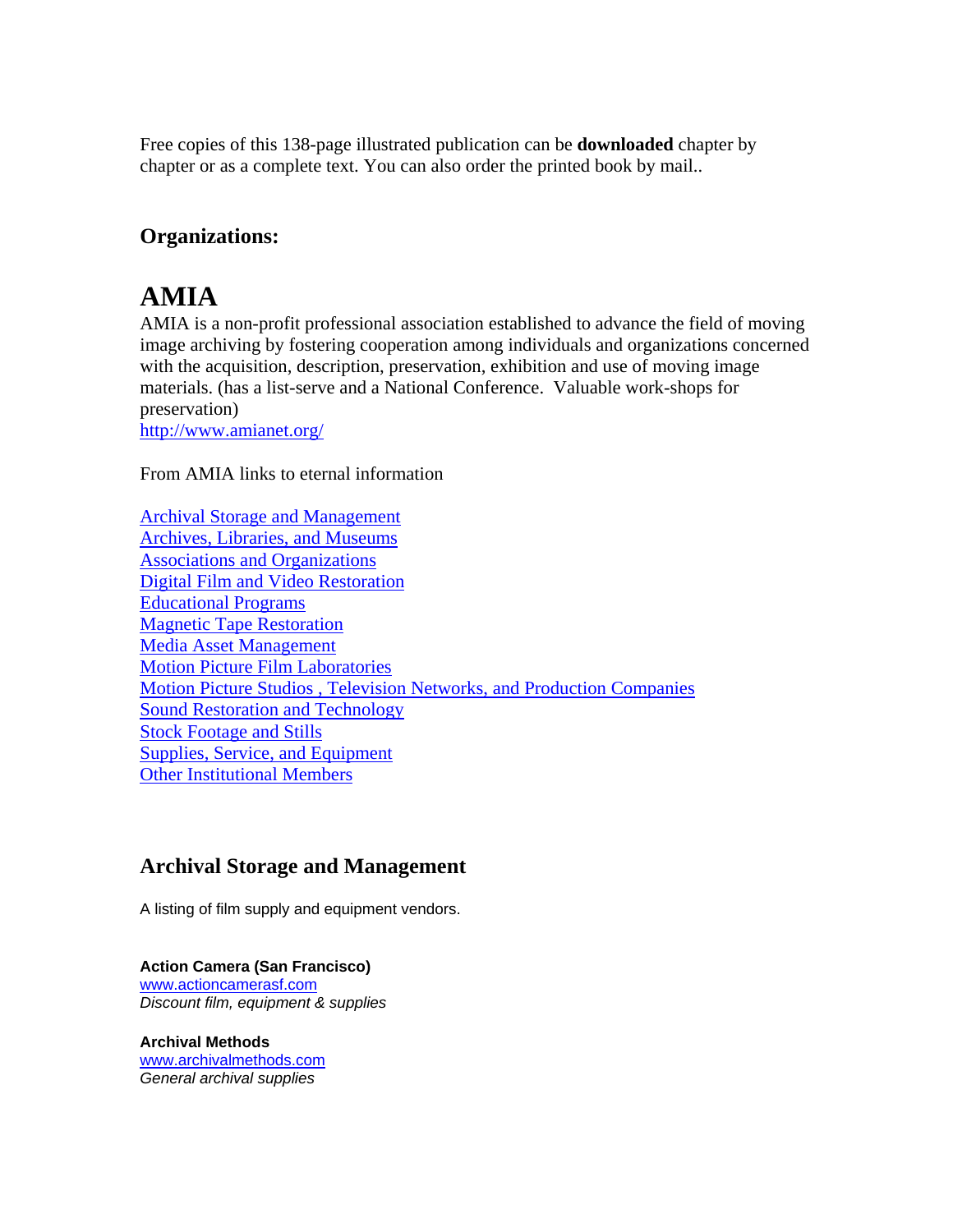Free copies of this 138-page illustrated publication can be **downloaded** chapter by chapter or as a complete text. You can also order the printed book by mail..

# **Organizations:**

# **AMIA**

AMIA is a non-profit professional association established to advance the field of moving image archiving by fostering cooperation among individuals and organizations concerned with the acquisition, description, preservation, exhibition and use of moving image materials. (has a list-serve and a National Conference. Valuable work-shops for preservation)

http://www.amianet.org/

From AMIA links to eternal information

Archival Storage and Management Archives, Libraries, and Museums Associations and Organizations Digital Film and Video Restoration Educational Programs Magnetic Tape Restoration Media Asset Management Motion Picture Film Laboratories Motion Picture Studios , Television Networks, and Production Companies Sound Restoration and Technology Stock Footage and Stills Supplies, Service, and Equipment Other Institutional Members

# **Archival Storage and Management**

A listing of film supply and equipment vendors.

#### **Action Camera (San Francisco)**

www.actioncamerasf.com *Discount film, equipment & supplies* 

**Archival Methods**  www.archivalmethods.com *General archival supplies*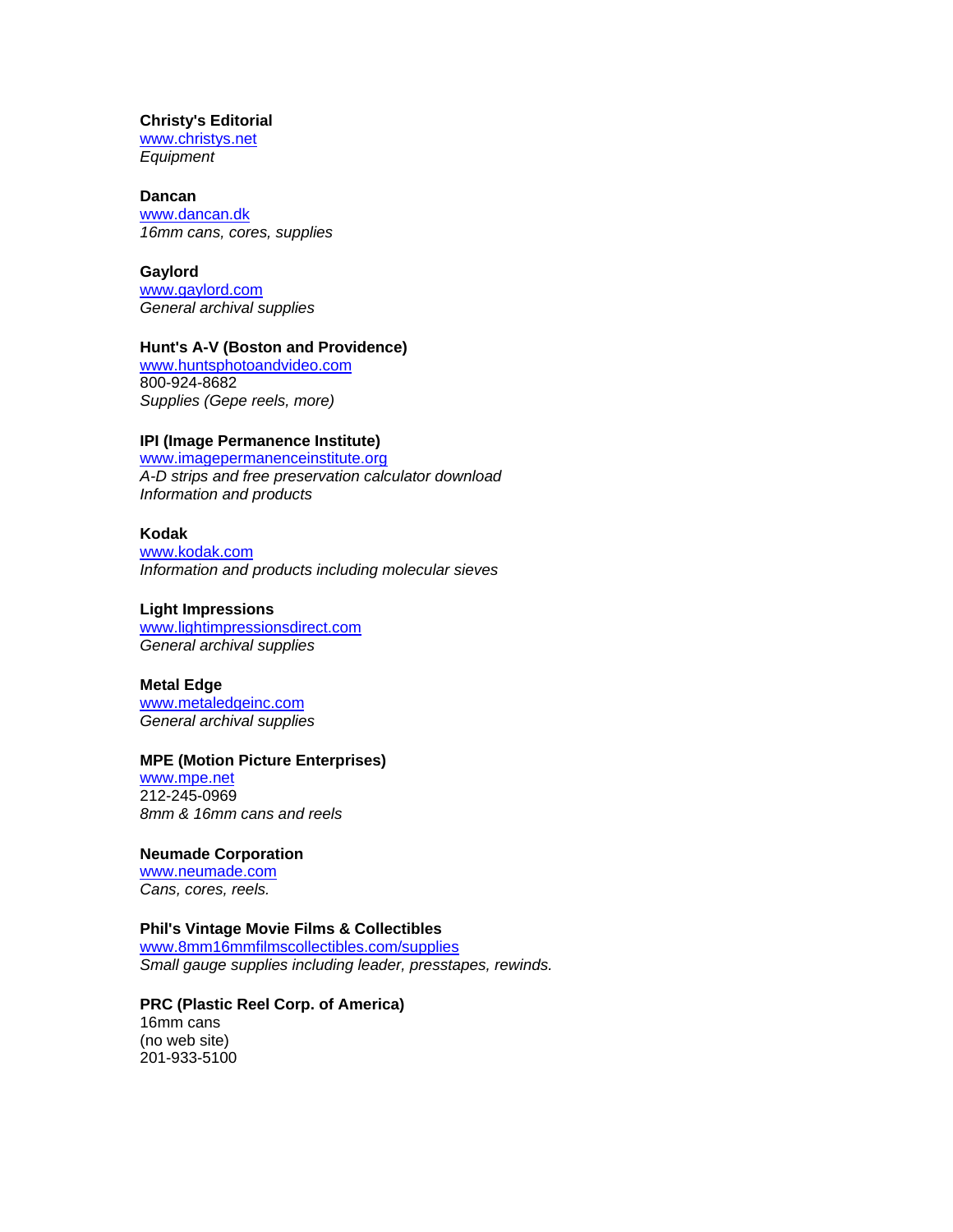#### **Christy's Editorial**

www.christys.net *Equipment*

#### **Dancan**

www.dancan.dk *16mm cans, cores, supplies*

#### **Gaylord**

www.gaylord.com *General archival supplies*

#### **Hunt's A-V (Boston and Providence)**

www.huntsphotoandvideo.com 800-924-8682 *Supplies (Gepe reels, more)*

#### **IPI (Image Permanence Institute)**

www.imagepermanenceinstitute.org *A-D strips and free preservation calculator download Information and products*

#### **Kodak**

www.kodak.com *Information and products including molecular sieves* 

#### **Light Impressions**

www.lightimpressionsdirect.com *General archival supplies*

#### **Metal Edge**

www.metaledgeinc.com *General archival supplies* 

#### **MPE (Motion Picture Enterprises)**

www.mpe.net 212-245-0969 *8mm & 16mm cans and reels*

#### **Neumade Corporation**

www.neumade.com *Cans, cores, reels.*

#### **Phil's Vintage Movie Films & Collectibles**

www.8mm16mmfilmscollectibles.com/supplies *Small gauge supplies including leader, presstapes, rewinds.*

#### **PRC (Plastic Reel Corp. of America)** 16mm cans

(no web site) 201-933-5100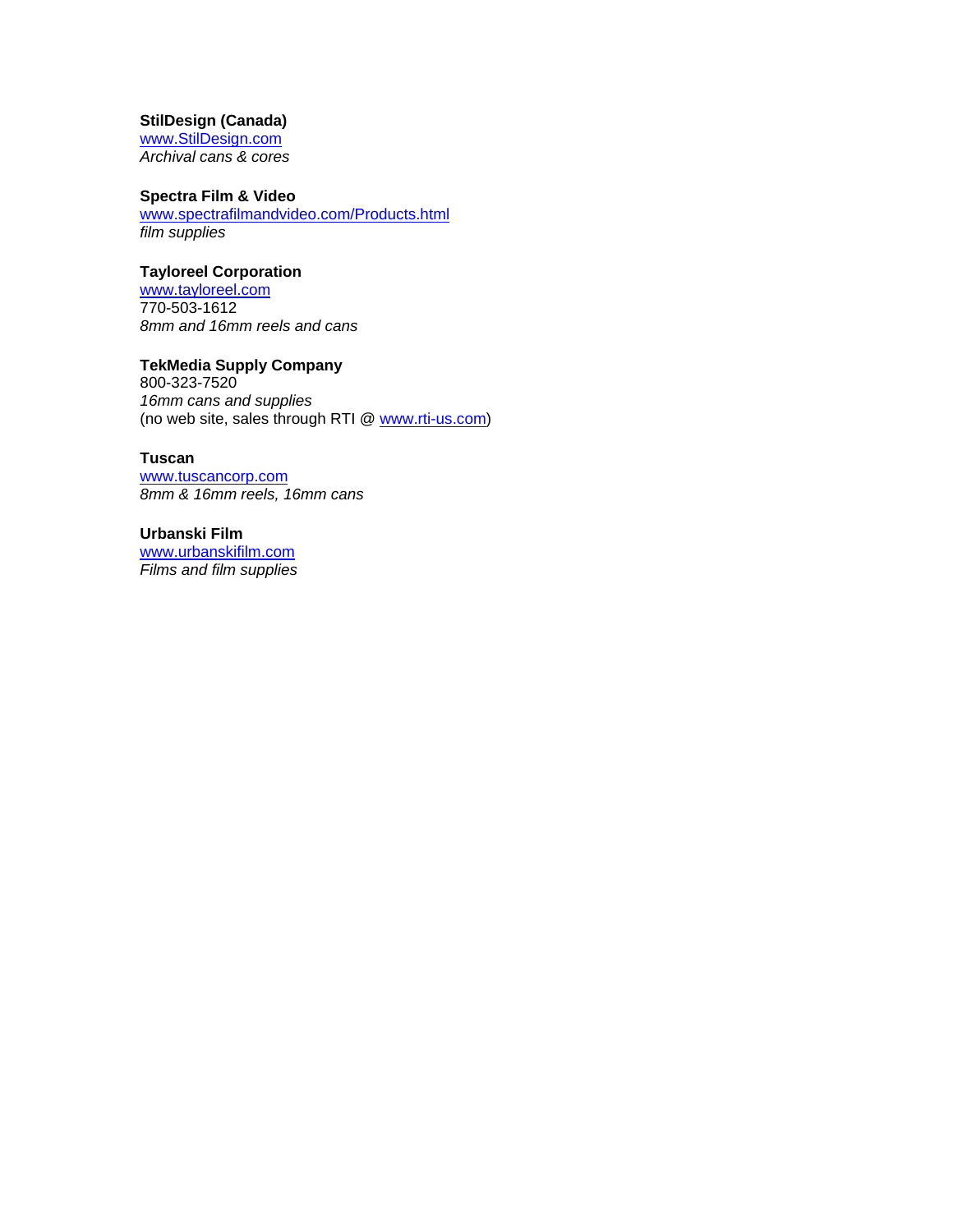#### **StilDesign (Canada)**

www.StilDesign.com *Archival cans & cores* 

#### **Spectra Film & Video**

www.spectrafilmandvideo.com/Products.html *film supplies* 

#### **Tayloreel Corporation**

www.tayloreel.com 770-503-1612 *8mm and 16mm reels and cans*

#### **TekMedia Supply Company**

800-323-7520 *16mm cans and supplies* (no web site, sales through RTI @ www.rti-us.com)

#### **Tuscan**

www.tuscancorp.com *8mm & 16mm reels, 16mm cans*

#### **Urbanski Film**

www.urbanskifilm.com *Films and film supplies*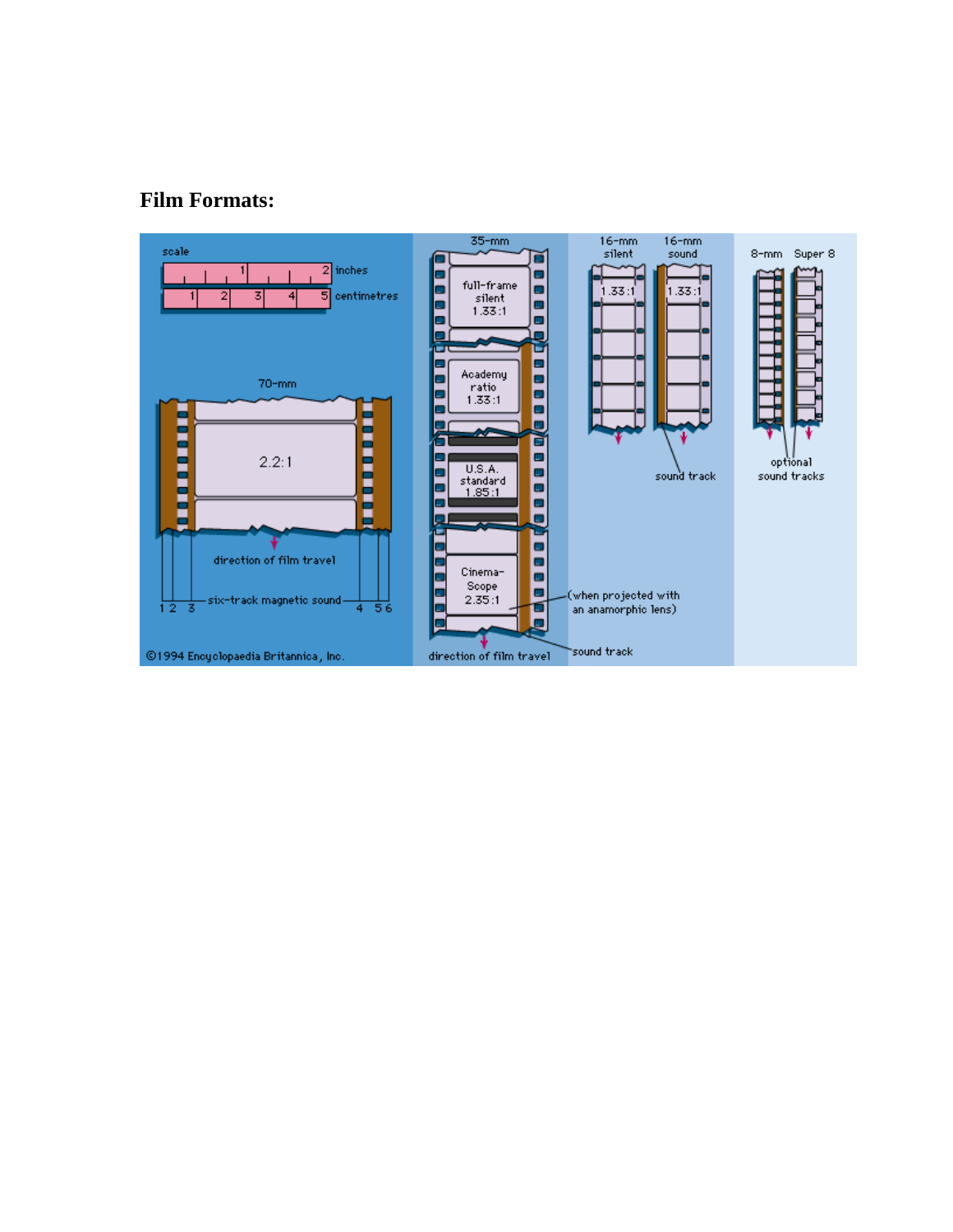# **Film Formats:**

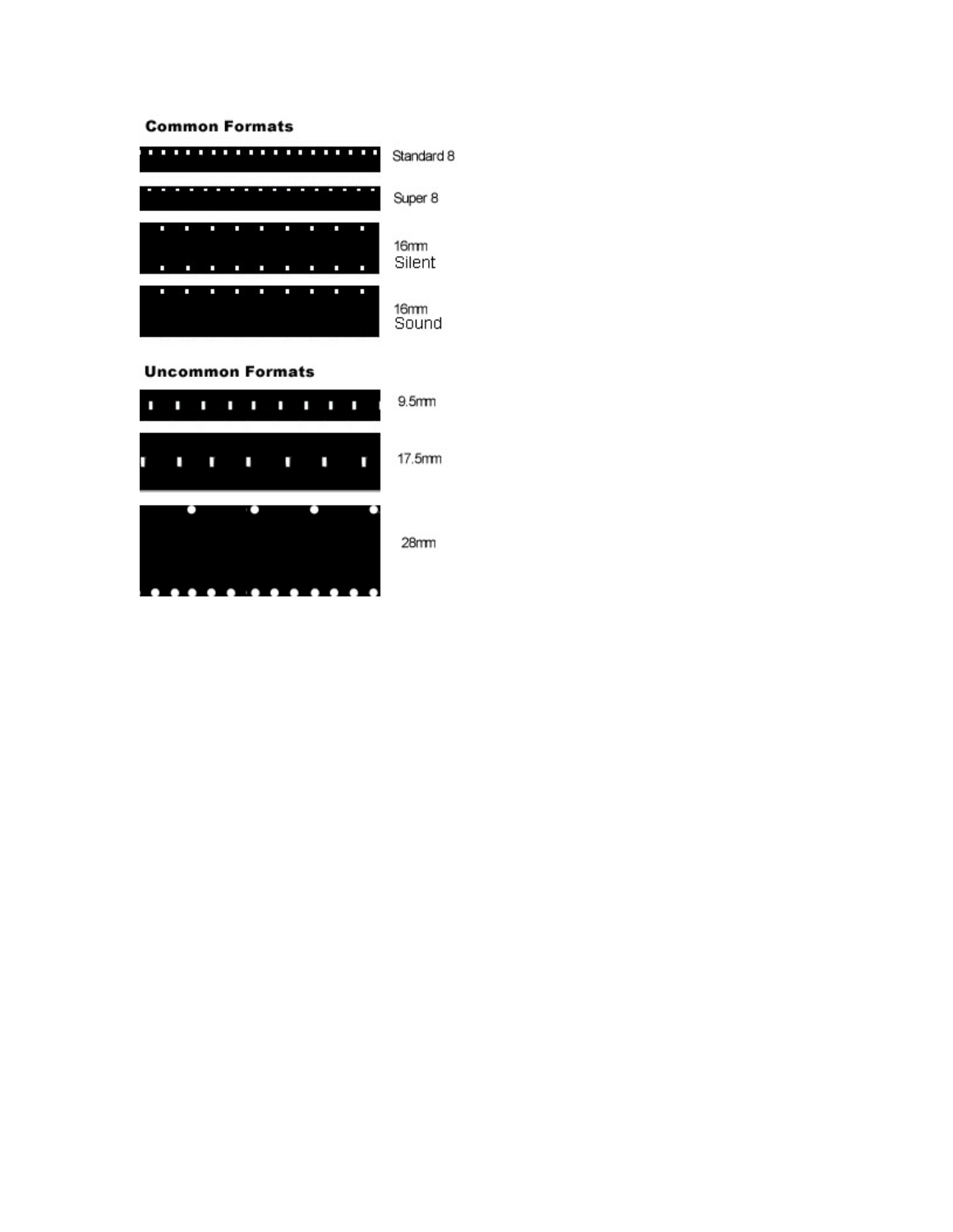#### **Common Formats**



#### **Uncommon Formats**



28mm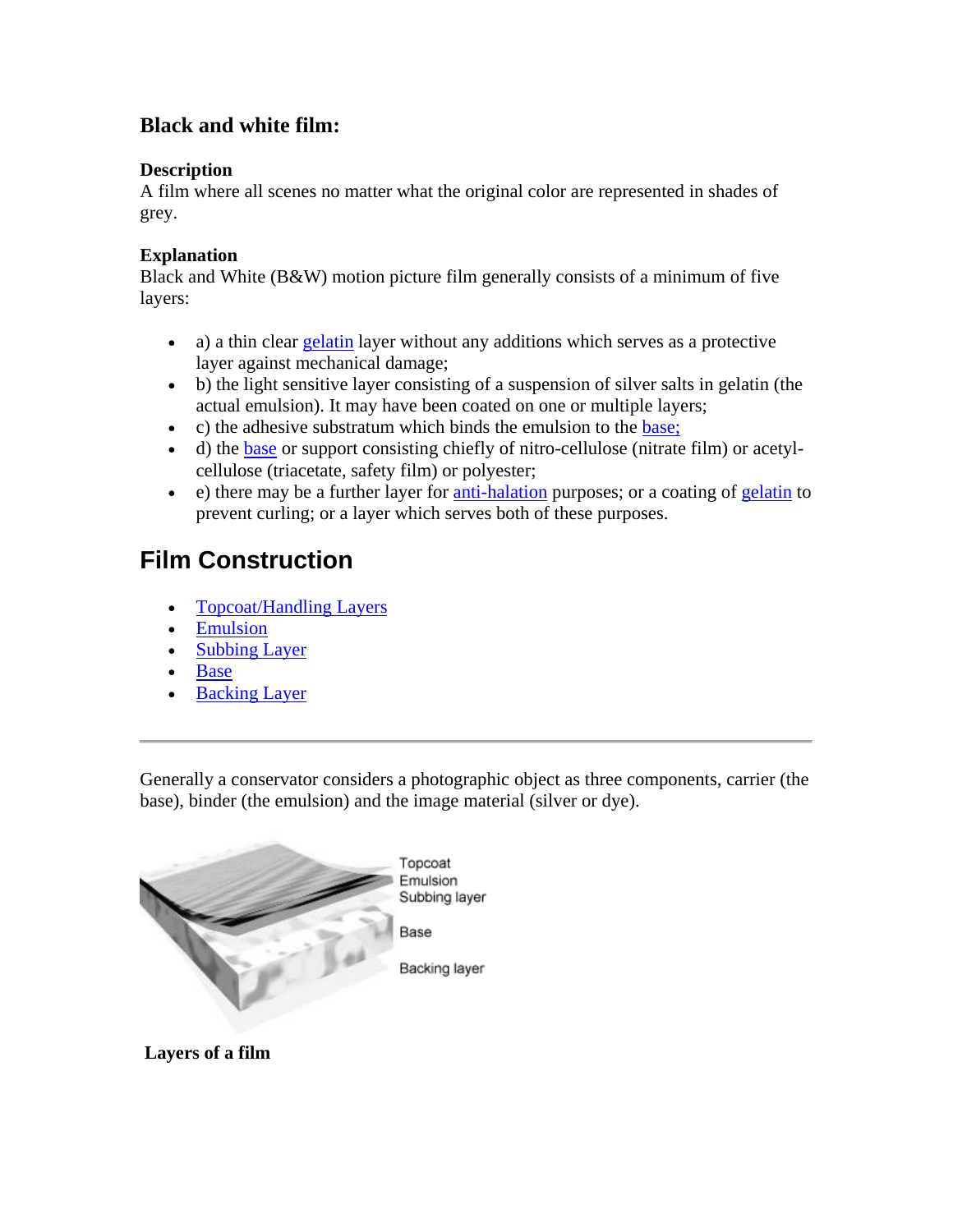# **Black and white film:**

## **Description**

A film where all scenes no matter what the original color are represented in shades of grey.

## **Explanation**

Black and White (B&W) motion picture film generally consists of a minimum of five layers:

- a) a thin clear gelatin layer without any additions which serves as a protective layer against mechanical damage;
- b) the light sensitive layer consisting of a suspension of silver salts in gelatin (the actual emulsion). It may have been coated on one or multiple layers;
- c) the adhesive substratum which binds the emulsion to the base;
- d) the base or support consisting chiefly of nitro-cellulose (nitrate film) or acetylcellulose (triacetate, safety film) or polyester;
- e) there may be a further layer for anti-halation purposes; or a coating of gelatin to prevent curling; or a layer which serves both of these purposes.

# **Film Construction**

- Topcoat/Handling Layers
- Emulsion
- Subbing Layer
- Base
- Backing Layer

Generally a conservator considers a photographic object as three components, carrier (the base), binder (the emulsion) and the image material (silver or dye).



 **Layers of a film**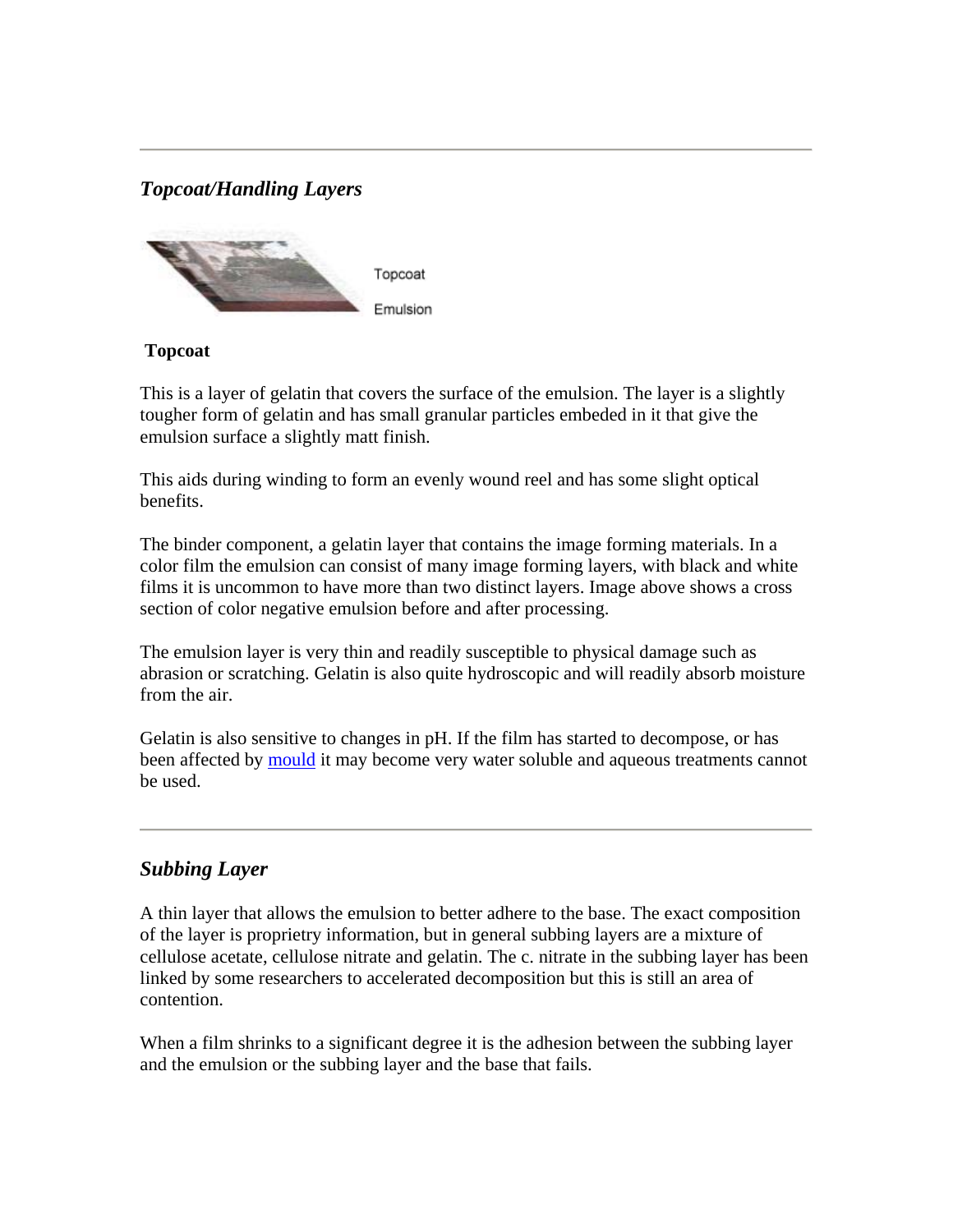# *Topcoat/Handling Layers*



#### **Topcoat**

This is a layer of gelatin that covers the surface of the emulsion. The layer is a slightly tougher form of gelatin and has small granular particles embeded in it that give the emulsion surface a slightly matt finish.

This aids during winding to form an evenly wound reel and has some slight optical benefits.

The binder component, a gelatin layer that contains the image forming materials. In a color film the emulsion can consist of many image forming layers, with black and white films it is uncommon to have more than two distinct layers. Image above shows a cross section of color negative emulsion before and after processing.

The emulsion layer is very thin and readily susceptible to physical damage such as abrasion or scratching. Gelatin is also quite hydroscopic and will readily absorb moisture from the air.

Gelatin is also sensitive to changes in pH. If the film has started to decompose, or has been affected by mould it may become very water soluble and aqueous treatments cannot be used.

# *Subbing Layer*

A thin layer that allows the emulsion to better adhere to the base. The exact composition of the layer is proprietry information, but in general subbing layers are a mixture of cellulose acetate, cellulose nitrate and gelatin. The c. nitrate in the subbing layer has been linked by some researchers to accelerated decomposition but this is still an area of contention.

When a film shrinks to a significant degree it is the adhesion between the subbing layer and the emulsion or the subbing layer and the base that fails.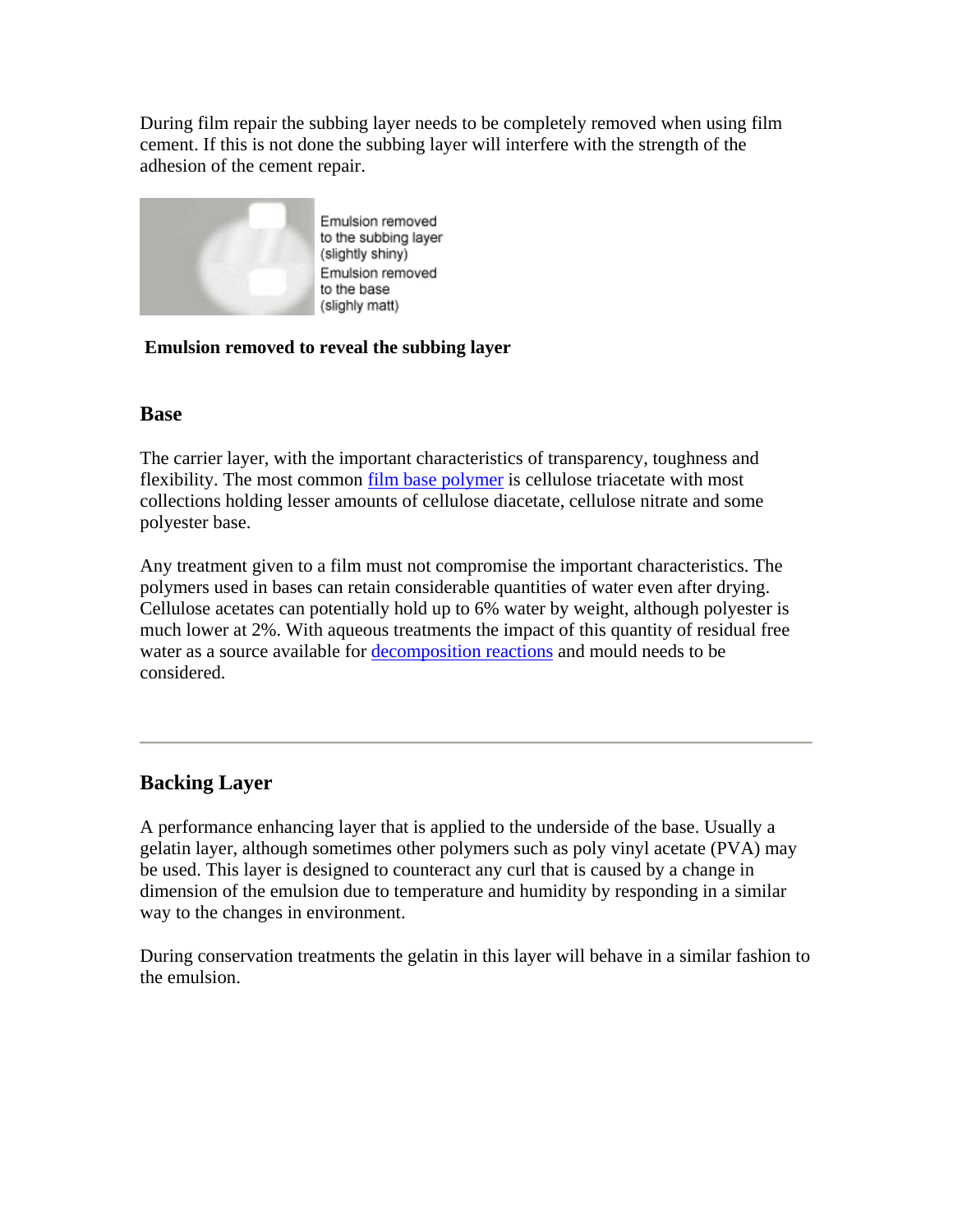During film repair the subbing layer needs to be completely removed when using film cement. If this is not done the subbing layer will interfere with the strength of the adhesion of the cement repair.



Emulsion removed to the subbing layer (slightly shiny) Emulsion removed to the base (slighly matt)

## **Emulsion removed to reveal the subbing layer**

## **Base**

The carrier layer, with the important characteristics of transparency, toughness and flexibility. The most common film base polymer is cellulose triacetate with most collections holding lesser amounts of cellulose diacetate, cellulose nitrate and some polyester base.

Any treatment given to a film must not compromise the important characteristics. The polymers used in bases can retain considerable quantities of water even after drying. Cellulose acetates can potentially hold up to 6% water by weight, although polyester is much lower at 2%. With aqueous treatments the impact of this quantity of residual free water as a source available for decomposition reactions and mould needs to be considered.

# **Backing Layer**

A performance enhancing layer that is applied to the underside of the base. Usually a gelatin layer, although sometimes other polymers such as poly vinyl acetate (PVA) may be used. This layer is designed to counteract any curl that is caused by a change in dimension of the emulsion due to temperature and humidity by responding in a similar way to the changes in environment.

During conservation treatments the gelatin in this layer will behave in a similar fashion to the emulsion.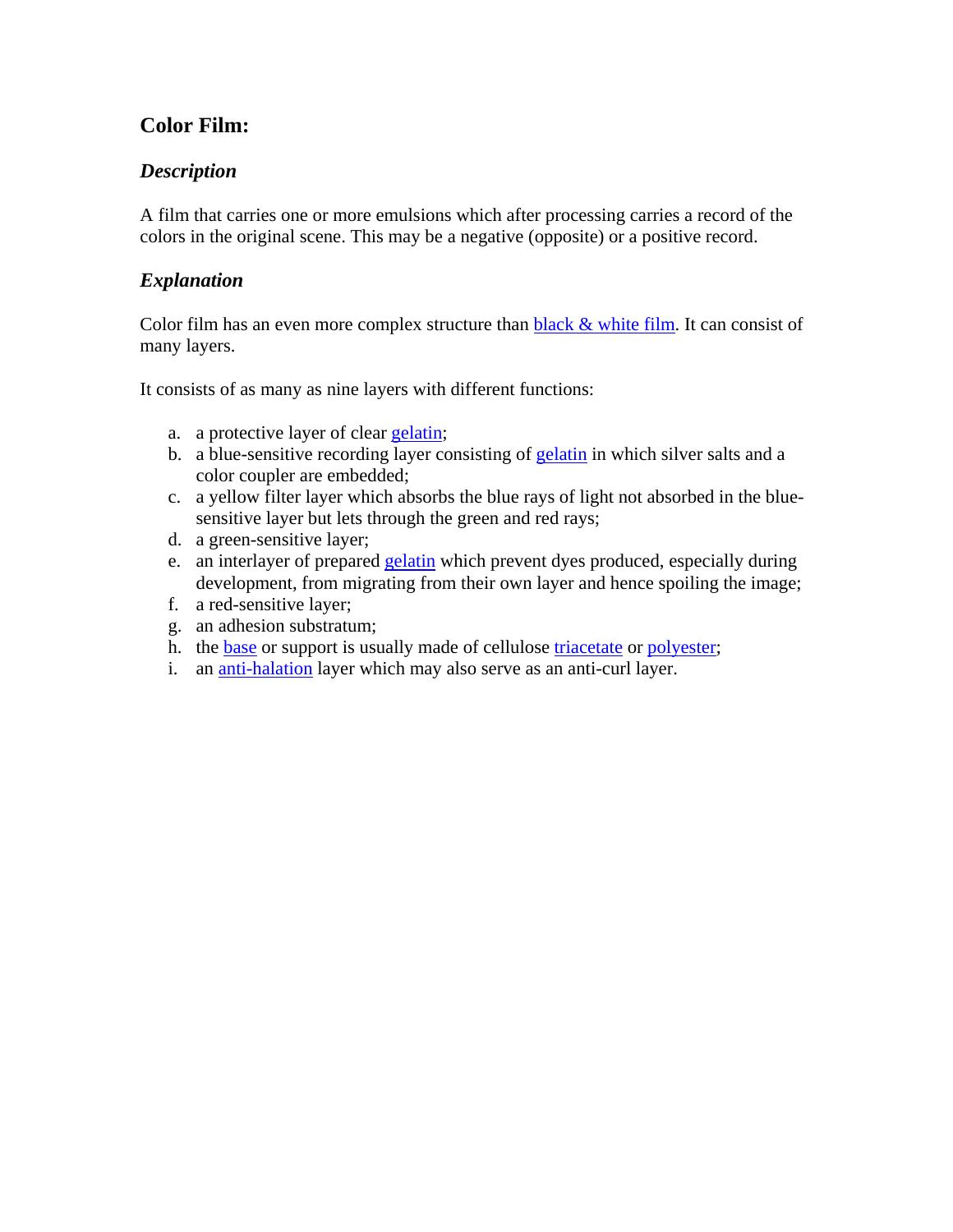# **Color Film:**

## *Description*

A film that carries one or more emulsions which after processing carries a record of the colors in the original scene. This may be a negative (opposite) or a positive record.

## *Explanation*

Color film has an even more complex structure than  $black &$  white film. It can consist of many layers.

It consists of as many as nine layers with different functions:

- a. a protective layer of clear gelatin;
- b. a blue-sensitive recording layer consisting of gelatin in which silver salts and a color coupler are embedded;
- c. a yellow filter layer which absorbs the blue rays of light not absorbed in the bluesensitive layer but lets through the green and red rays;
- d. a green-sensitive layer;
- e. an interlayer of prepared gelatin which prevent dyes produced, especially during development, from migrating from their own layer and hence spoiling the image;
- f. a red-sensitive layer;
- g. an adhesion substratum;
- h. the base or support is usually made of cellulose triacetate or polyester;
- i. an anti-halation layer which may also serve as an anti-curl layer.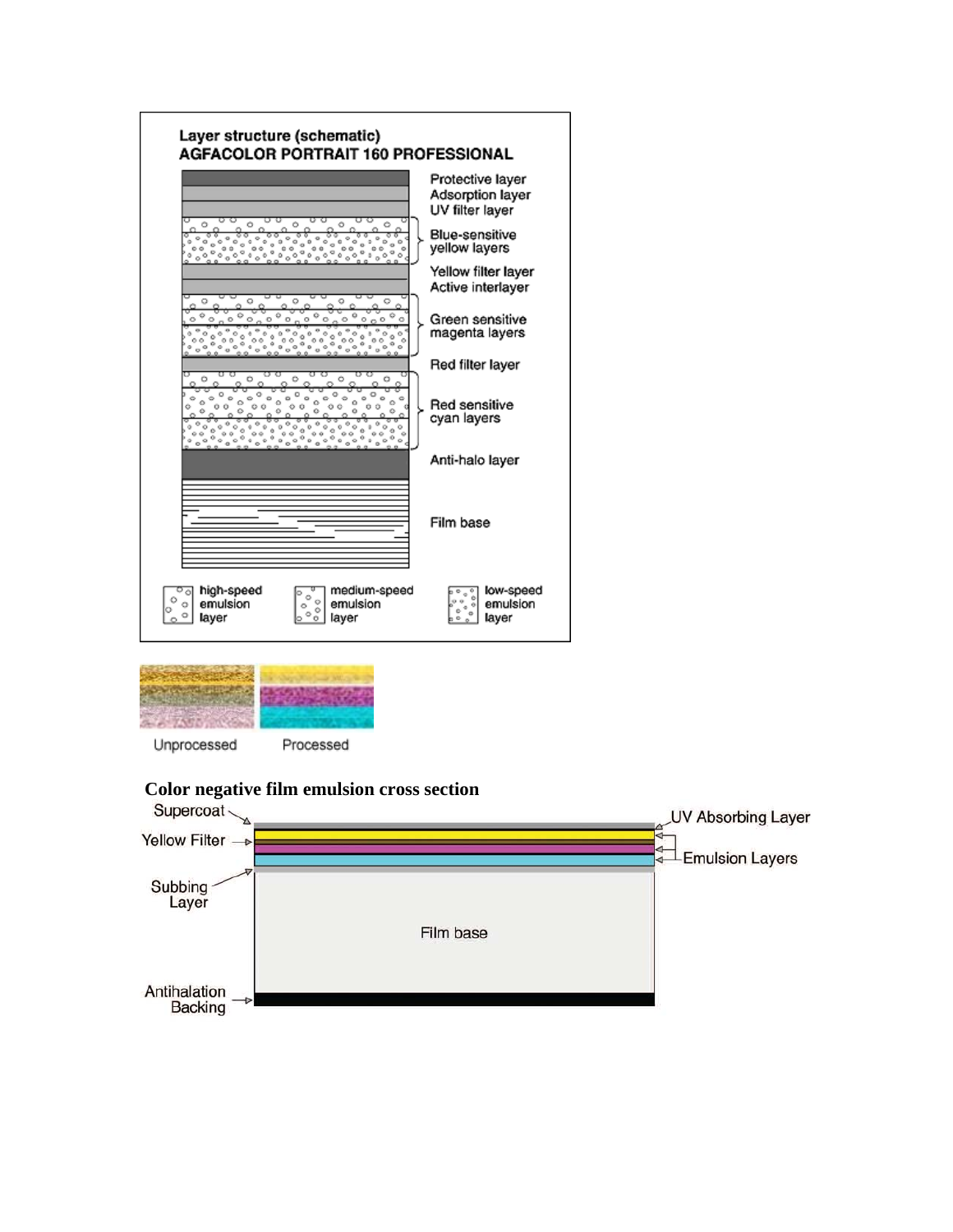



**Color negative film emulsion cross section** 

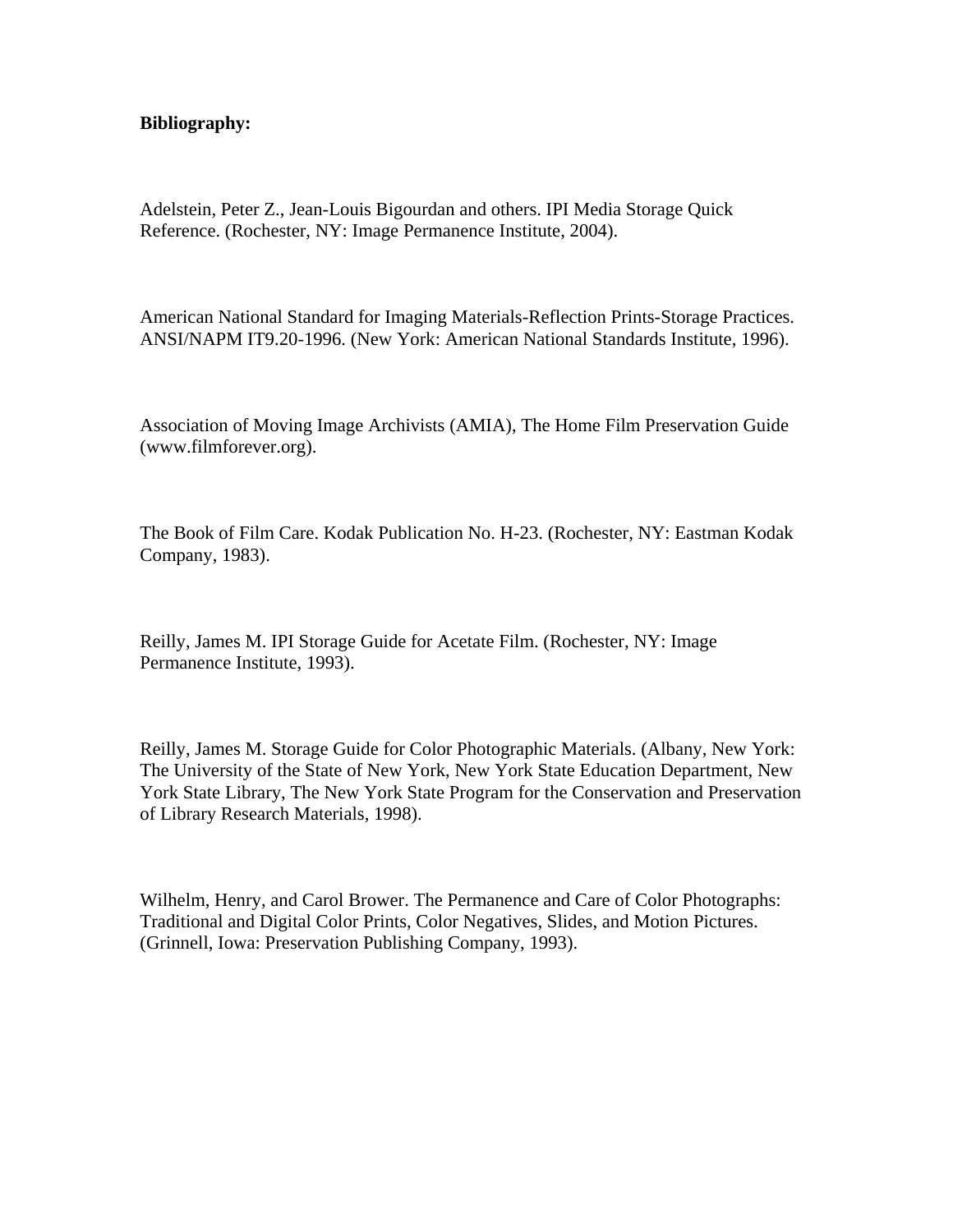#### **Bibliography:**

Adelstein, Peter Z., Jean-Louis Bigourdan and others. IPI Media Storage Quick Reference. (Rochester, NY: Image Permanence Institute, 2004).

American National Standard for Imaging Materials-Reflection Prints-Storage Practices. ANSI/NAPM IT9.20-1996. (New York: American National Standards Institute, 1996).

Association of Moving Image Archivists (AMIA), The Home Film Preservation Guide (www.filmforever.org).

The Book of Film Care. Kodak Publication No. H-23. (Rochester, NY: Eastman Kodak Company, 1983).

Reilly, James M. IPI Storage Guide for Acetate Film. (Rochester, NY: Image Permanence Institute, 1993).

Reilly, James M. Storage Guide for Color Photographic Materials. (Albany, New York: The University of the State of New York, New York State Education Department, New York State Library, The New York State Program for the Conservation and Preservation of Library Research Materials, 1998).

Wilhelm, Henry, and Carol Brower. The Permanence and Care of Color Photographs: Traditional and Digital Color Prints, Color Negatives, Slides, and Motion Pictures. (Grinnell, Iowa: Preservation Publishing Company, 1993).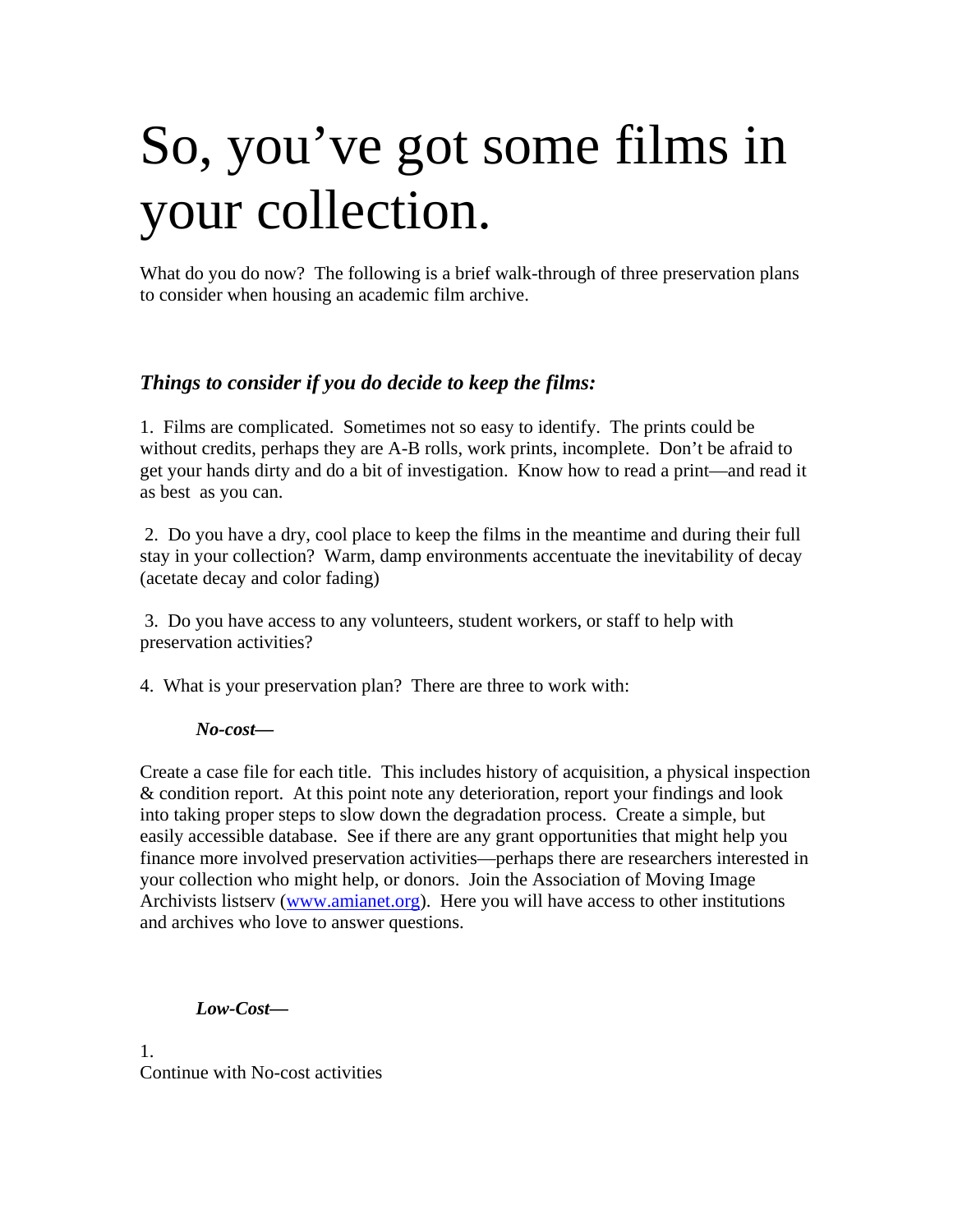# So, you've got some films in your collection.

What do you do now? The following is a brief walk-through of three preservation plans to consider when housing an academic film archive.

## *Things to consider if you do decide to keep the films:*

1. Films are complicated. Sometimes not so easy to identify. The prints could be without credits, perhaps they are A-B rolls, work prints, incomplete. Don't be afraid to get your hands dirty and do a bit of investigation. Know how to read a print—and read it as best as you can.

 2. Do you have a dry, cool place to keep the films in the meantime and during their full stay in your collection? Warm, damp environments accentuate the inevitability of decay (acetate decay and color fading)

 3. Do you have access to any volunteers, student workers, or staff to help with preservation activities?

4. What is your preservation plan? There are three to work with:

#### *No-cost—*

Create a case file for each title. This includes history of acquisition, a physical inspection & condition report. At this point note any deterioration, report your findings and look into taking proper steps to slow down the degradation process. Create a simple, but easily accessible database. See if there are any grant opportunities that might help you finance more involved preservation activities—perhaps there are researchers interested in your collection who might help, or donors. Join the Association of Moving Image Archivists listserv (www.amianet.org). Here you will have access to other institutions and archives who love to answer questions.

#### *Low-Cost—*

1. Continue with No-cost activities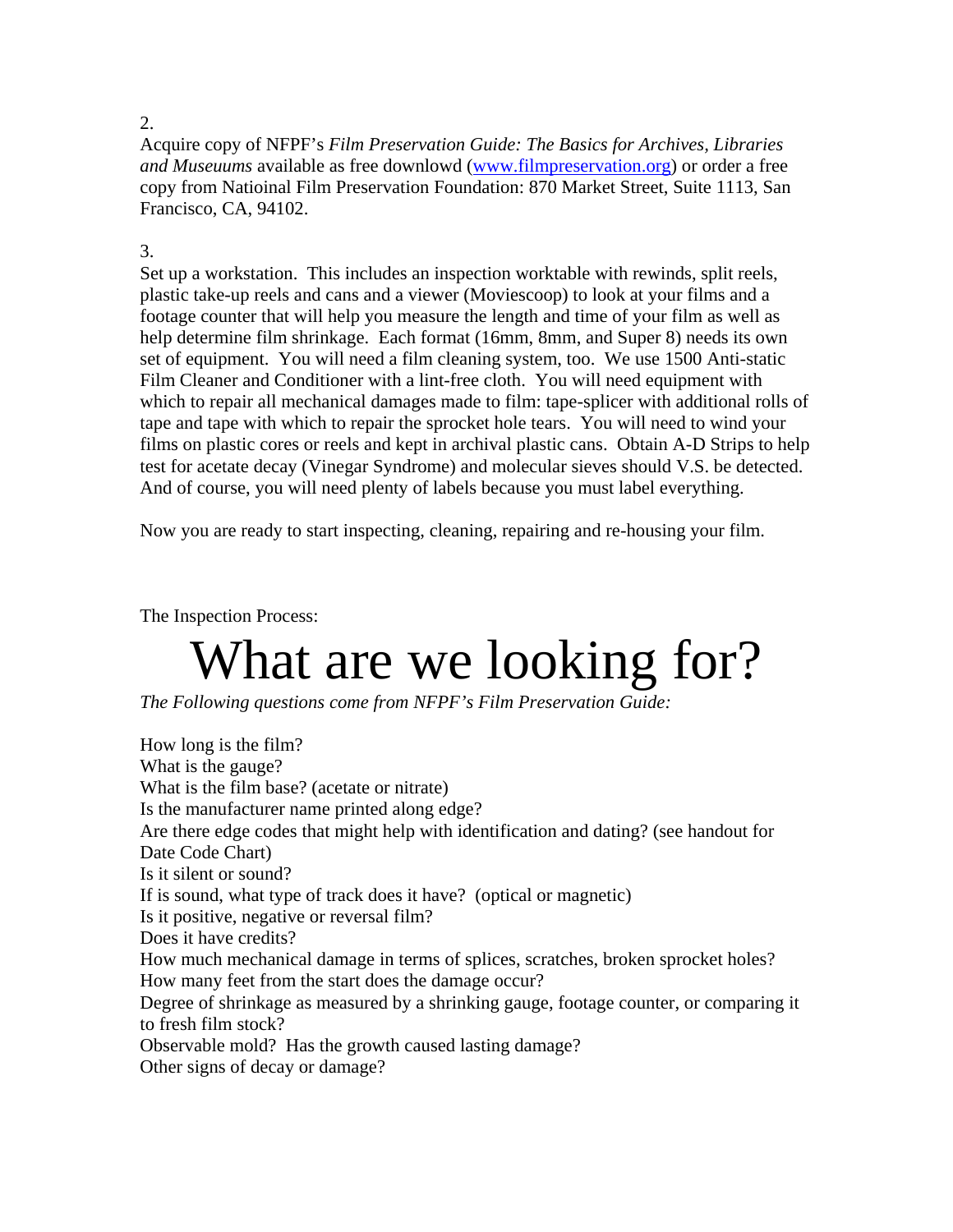#### 2.

Acquire copy of NFPF's *Film Preservation Guide: The Basics for Archives, Libraries and Museuums* available as free downlowd (www.filmpreservation.org) or order a free copy from Natioinal Film Preservation Foundation: 870 Market Street, Suite 1113, San Francisco, CA, 94102.

## 3.

Set up a workstation. This includes an inspection worktable with rewinds, split reels, plastic take-up reels and cans and a viewer (Moviescoop) to look at your films and a footage counter that will help you measure the length and time of your film as well as help determine film shrinkage. Each format (16mm, 8mm, and Super 8) needs its own set of equipment. You will need a film cleaning system, too. We use 1500 Anti-static Film Cleaner and Conditioner with a lint-free cloth. You will need equipment with which to repair all mechanical damages made to film: tape-splicer with additional rolls of tape and tape with which to repair the sprocket hole tears. You will need to wind your films on plastic cores or reels and kept in archival plastic cans. Obtain A-D Strips to help test for acetate decay (Vinegar Syndrome) and molecular sieves should V.S. be detected. And of course, you will need plenty of labels because you must label everything.

Now you are ready to start inspecting, cleaning, repairing and re-housing your film.

The Inspection Process:

# What are we looking for?

*The Following questions come from NFPF's Film Preservation Guide:*

How long is the film? What is the gauge? What is the film base? (acetate or nitrate) Is the manufacturer name printed along edge? Are there edge codes that might help with identification and dating? (see handout for Date Code Chart) Is it silent or sound? If is sound, what type of track does it have? (optical or magnetic) Is it positive, negative or reversal film? Does it have credits? How much mechanical damage in terms of splices, scratches, broken sprocket holes? How many feet from the start does the damage occur? Degree of shrinkage as measured by a shrinking gauge, footage counter, or comparing it to fresh film stock? Observable mold? Has the growth caused lasting damage? Other signs of decay or damage?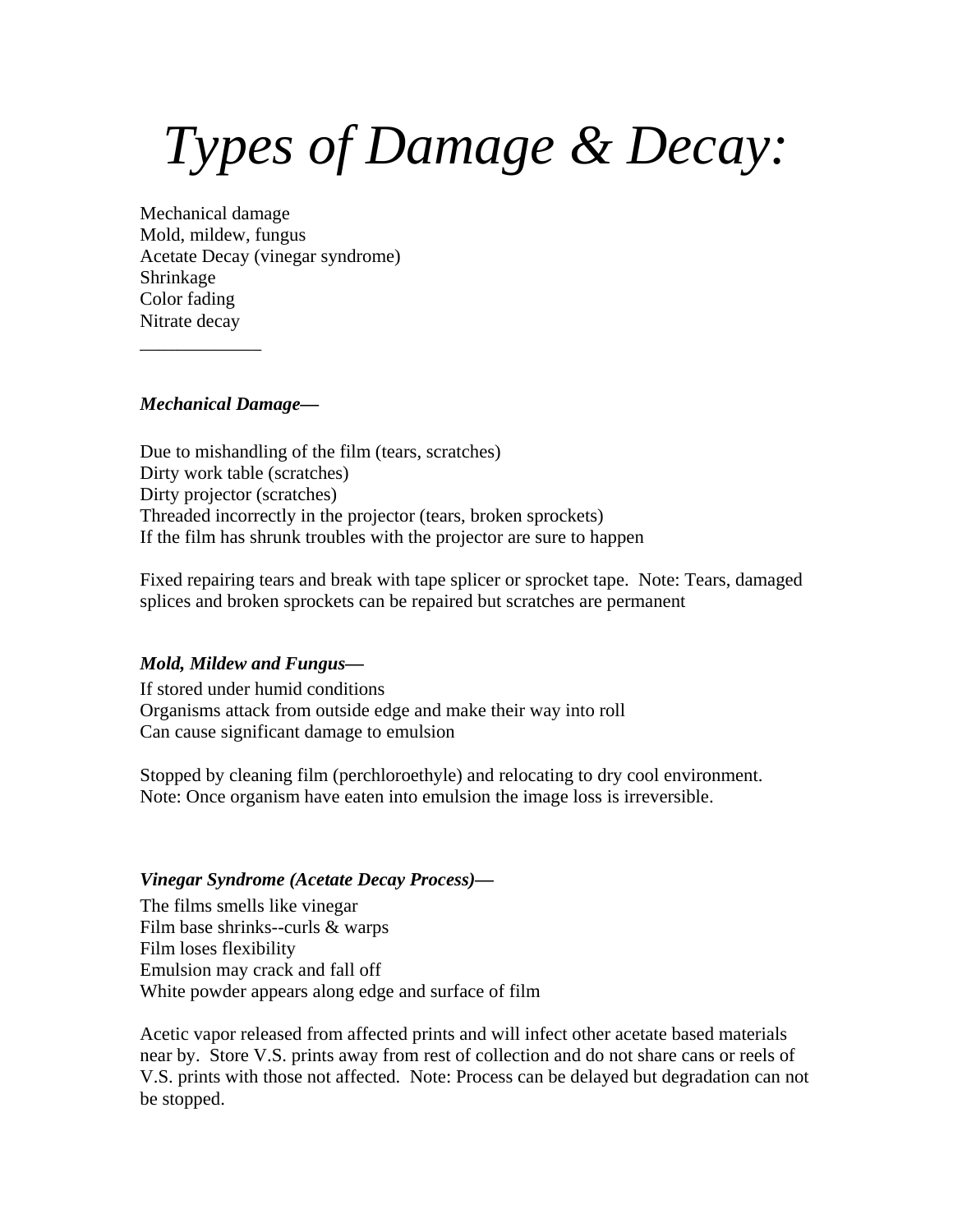# *Types of Damage & Decay:*

Mechanical damage Mold, mildew, fungus Acetate Decay (vinegar syndrome) Shrinkage Color fading Nitrate decay

#### *Mechanical Damage—*

\_\_\_\_\_\_\_\_\_\_\_\_\_

Due to mishandling of the film (tears, scratches) Dirty work table (scratches) Dirty projector (scratches) Threaded incorrectly in the projector (tears, broken sprockets) If the film has shrunk troubles with the projector are sure to happen

Fixed repairing tears and break with tape splicer or sprocket tape. Note: Tears, damaged splices and broken sprockets can be repaired but scratches are permanent

#### *Mold, Mildew and Fungus—*

If stored under humid conditions Organisms attack from outside edge and make their way into roll Can cause significant damage to emulsion

Stopped by cleaning film (perchloroethyle) and relocating to dry cool environment. Note: Once organism have eaten into emulsion the image loss is irreversible.

#### *Vinegar Syndrome (Acetate Decay Process)—*

The films smells like vinegar Film base shrinks--curls & warps Film loses flexibility Emulsion may crack and fall off White powder appears along edge and surface of film

Acetic vapor released from affected prints and will infect other acetate based materials near by. Store V.S. prints away from rest of collection and do not share cans or reels of V.S. prints with those not affected. Note: Process can be delayed but degradation can not be stopped.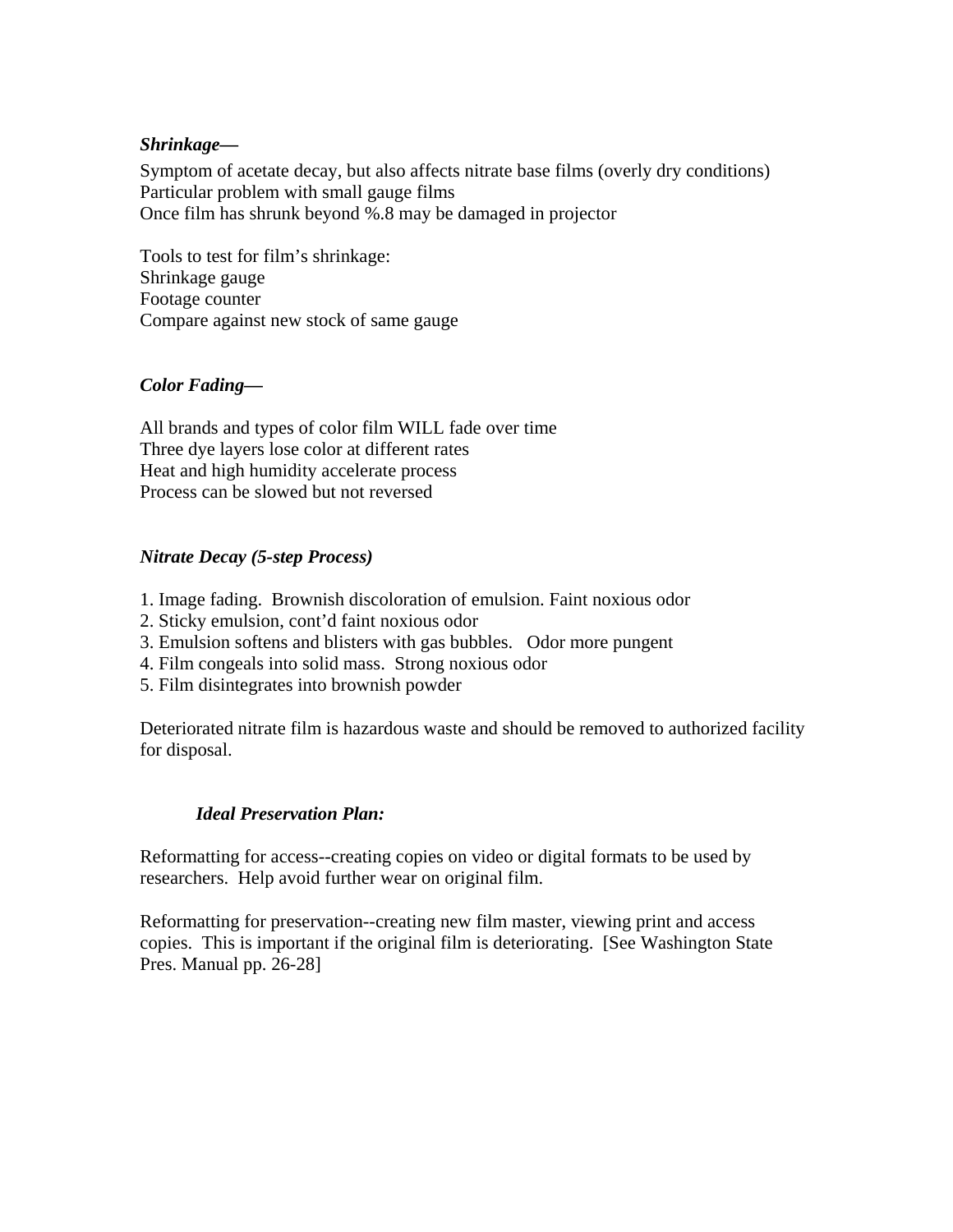### *Shrinkage—*

Symptom of acetate decay, but also affects nitrate base films (overly dry conditions) Particular problem with small gauge films Once film has shrunk beyond %.8 may be damaged in projector

Tools to test for film's shrinkage: Shrinkage gauge Footage counter Compare against new stock of same gauge

## *Color Fading—*

All brands and types of color film WILL fade over time Three dye layers lose color at different rates Heat and high humidity accelerate process Process can be slowed but not reversed

### *Nitrate Decay (5-step Process)*

- 1. Image fading. Brownish discoloration of emulsion. Faint noxious odor
- 2. Sticky emulsion, cont'd faint noxious odor
- 3. Emulsion softens and blisters with gas bubbles. Odor more pungent
- 4. Film congeals into solid mass. Strong noxious odor
- 5. Film disintegrates into brownish powder

Deteriorated nitrate film is hazardous waste and should be removed to authorized facility for disposal.

## *Ideal Preservation Plan:*

Reformatting for access--creating copies on video or digital formats to be used by researchers. Help avoid further wear on original film.

Reformatting for preservation--creating new film master, viewing print and access copies. This is important if the original film is deteriorating. [See Washington State Pres. Manual pp. 26-28]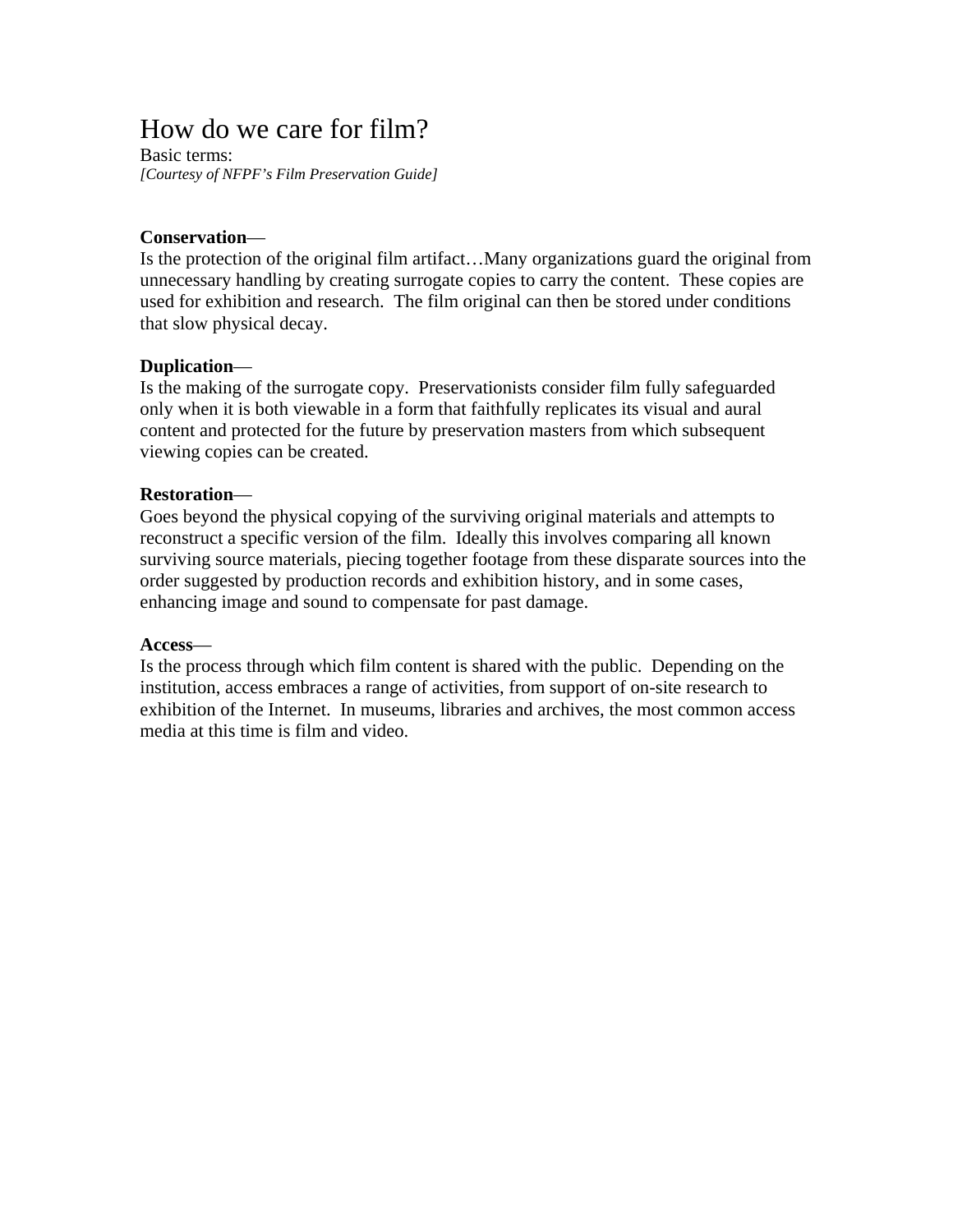# How do we care for film?

Basic terms: *[Courtesy of NFPF's Film Preservation Guide]*

#### **Conservation**—

Is the protection of the original film artifact…Many organizations guard the original from unnecessary handling by creating surrogate copies to carry the content. These copies are used for exhibition and research. The film original can then be stored under conditions that slow physical decay.

### **Duplication**—

Is the making of the surrogate copy. Preservationists consider film fully safeguarded only when it is both viewable in a form that faithfully replicates its visual and aural content and protected for the future by preservation masters from which subsequent viewing copies can be created.

#### **Restoration**—

Goes beyond the physical copying of the surviving original materials and attempts to reconstruct a specific version of the film. Ideally this involves comparing all known surviving source materials, piecing together footage from these disparate sources into the order suggested by production records and exhibition history, and in some cases, enhancing image and sound to compensate for past damage.

#### **Access**—

Is the process through which film content is shared with the public. Depending on the institution, access embraces a range of activities, from support of on-site research to exhibition of the Internet. In museums, libraries and archives, the most common access media at this time is film and video.